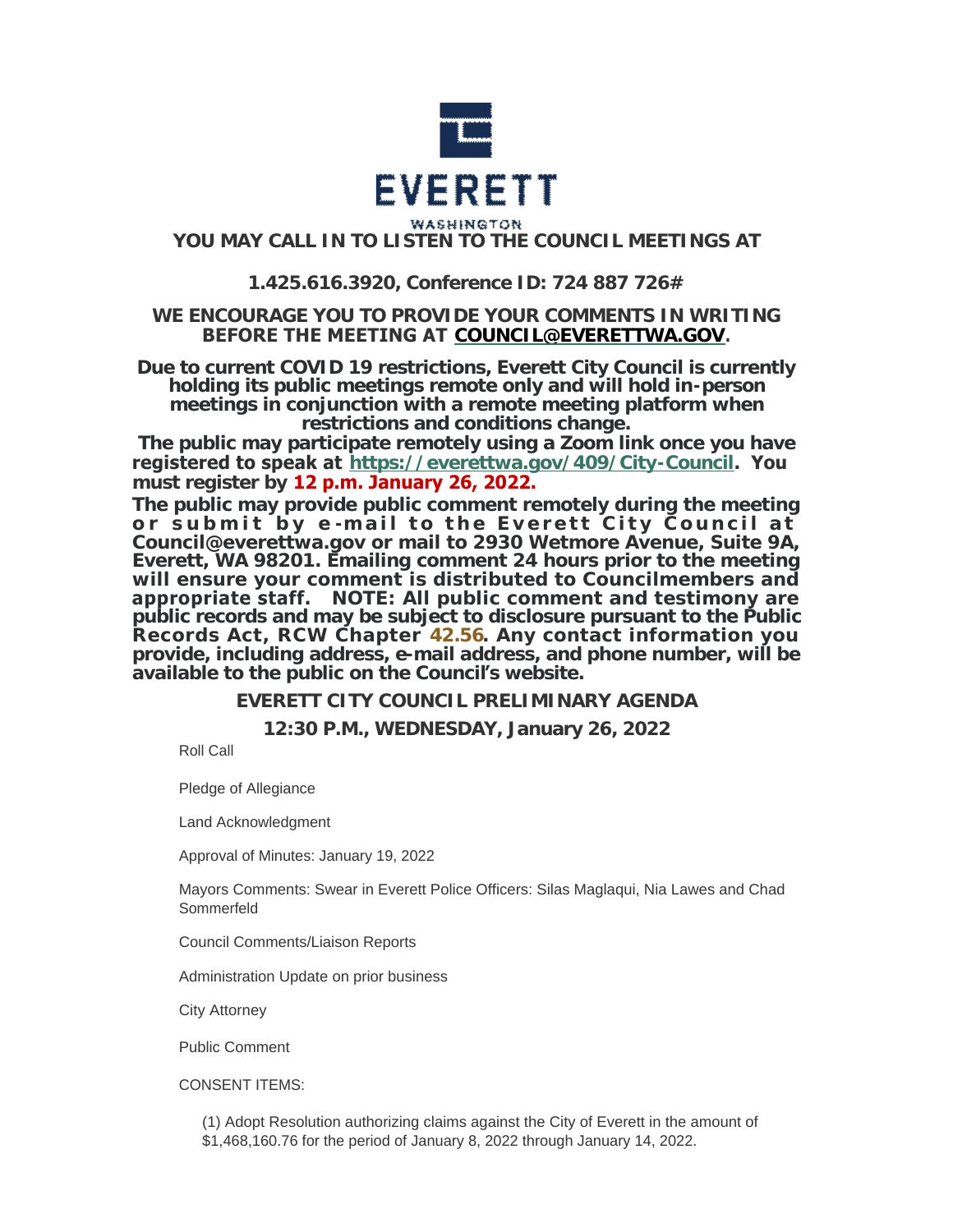

# **YOU MAY CALL IN TO LISTEN TO THE COUNCIL MEETINGS AT**

# **1.425.616.3920, Conference ID: 724 887 726#**

# **WE ENCOURAGE YOU TO PROVIDE YOUR COMMENTS IN WRITING BEFORE THE MEETING AT [COUNCIL@EVERETTWA.GOV](mailto:COUNCIL@EVERETTWA.GOV).**

**Due to current COVID 19 restrictions, Everett City Council is currently holding its public meetings remote only and will hold in-person meetings in conjunction with a remote meeting platform when restrictions and conditions change.**

**The public may participate remotely using a Zoom link once you have registered to speak at <https://everettwa.gov/409/City-Council>. You must register by 12 p.m. January 26, 2022.** 

**The public may provide public comment remotely during the meeting or submit by e -mail to the Everett City Council at Council@everettwa.gov or mail to 2930 Wetmore Avenue, Suite 9A, Everett, WA 98201. Emailing comment 24 hours prior to the meeting will ensure your comment is distributed to Councilmembers and appropriate staff.** *NOTE: All public comment and testimony are public records and may be subject to disclosure pursuant to the Public Records Act, RCW Chapter [42.56](https://apps.leg.wa.gov/rcw/default.aspx?cite=42.56). Any contact information you provide, including address, e-mail address, and phone number, will be available to the public on the Council***'***s website.*

**EVERETT CITY COUNCIL PRELIMINARY AGENDA**

**12:30 P.M., WEDNESDAY, January 26, 2022**

Roll Call

Pledge of Allegiance

Land Acknowledgment

Approval of Minutes: January 19, 2022

Mayors Comments: Swear in Everett Police Officers: Silas Maglaqui, Nia Lawes and Chad Sommerfeld

Council Comments/Liaison Reports

Administration Update on prior business

City Attorney

Public Comment

CONSENT ITEMS:

(1) Adopt Resolution authorizing claims against the City of Everett in the amount of \$1,468,160.76 for the period of January 8, 2022 through January 14, 2022.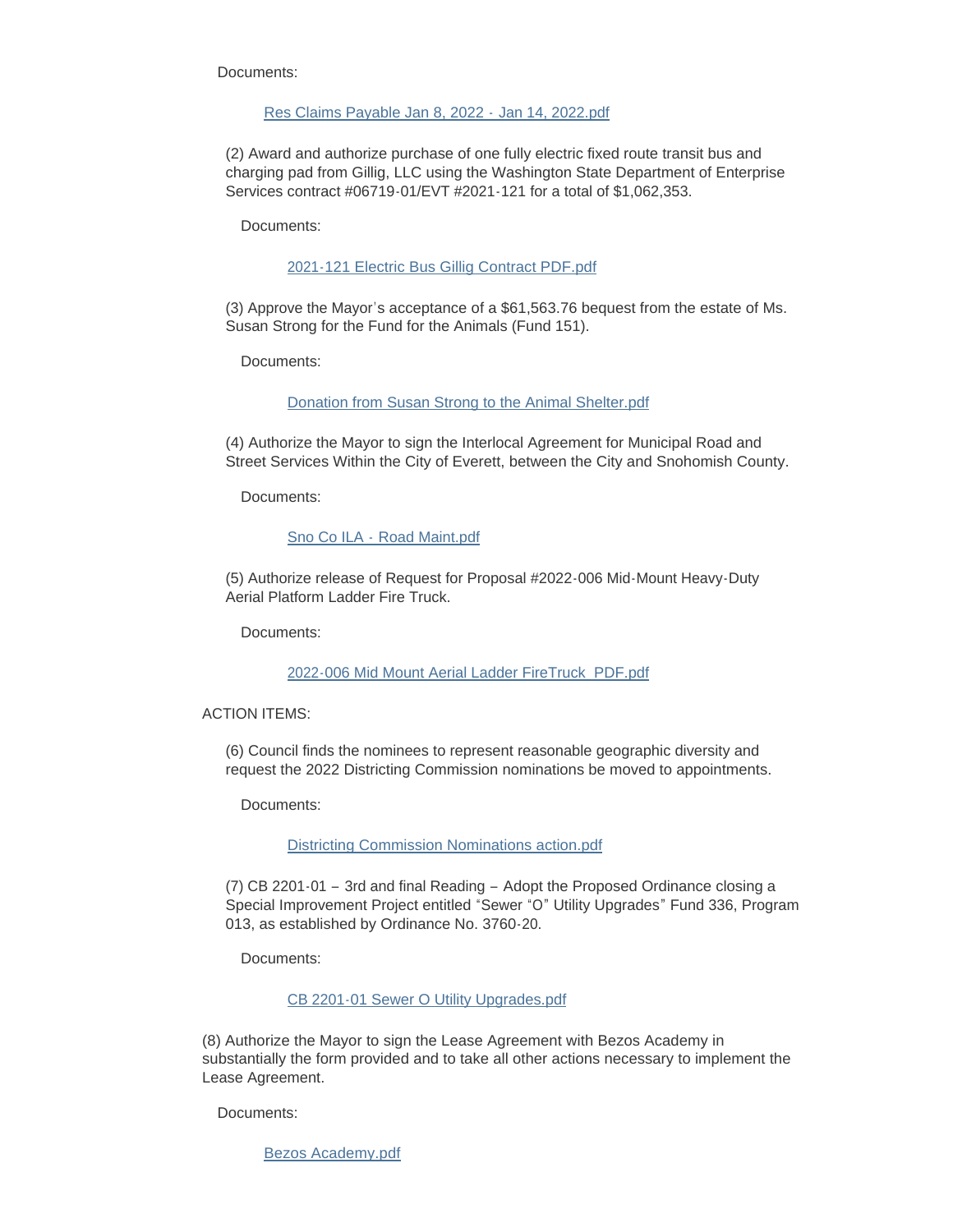Documents:

#### [Res Claims Payable Jan 8, 2022 -](https://www.everettwa.gov/AgendaCenter/ViewFile/Item/13311?fileID=79794) Jan 14, 2022.pdf

(2) Award and authorize purchase of one fully electric fixed route transit bus and charging pad from Gillig, LLC using the Washington State Department of Enterprise Services contract #06719-01/EVT #2021-121 for a total of \$1,062,353.

Documents:

### [2021-121 Electric Bus Gillig Contract PDF.pdf](https://www.everettwa.gov/AgendaCenter/ViewFile/Item/13312?fileID=79795)

(3) Approve the Mayor's acceptance of a \$61,563.76 bequest from the estate of Ms. Susan Strong for the Fund for the Animals (Fund 151).

Documents:

## [Donation from Susan Strong to the Animal Shelter.pdf](https://www.everettwa.gov/AgendaCenter/ViewFile/Item/13313?fileID=79796)

(4) Authorize the Mayor to sign the Interlocal Agreement for Municipal Road and Street Services Within the City of Everett, between the City and Snohomish County.

Documents:

## Sno Co ILA - [Road Maint.pdf](https://www.everettwa.gov/AgendaCenter/ViewFile/Item/13314?fileID=79797)

(5) Authorize release of Request for Proposal #2022-006 Mid-Mount Heavy-Duty Aerial Platform Ladder Fire Truck.

Documents:

#### [2022-006 Mid Mount Aerial Ladder FireTruck\\_PDF.pdf](https://www.everettwa.gov/AgendaCenter/ViewFile/Item/13315?fileID=79798)

#### ACTION ITEMS:

(6) Council finds the nominees to represent reasonable geographic diversity and request the 2022 Districting Commission nominations be moved to appointments.

Documents:

#### [Districting Commission Nominations action.pdf](https://www.everettwa.gov/AgendaCenter/ViewFile/Item/13316?fileID=79804)

(7) CB 2201-01 – 3rd and final Reading – Adopt the Proposed Ordinance closing a Special Improvement Project entitled "Sewer "O" Utility Upgrades" Fund 336, Program 013, as established by Ordinance No. 3760-20.

Documents:

# [CB 2201-01 Sewer O Utility Upgrades.pdf](https://www.everettwa.gov/AgendaCenter/ViewFile/Item/13317?fileID=79800)

(8) Authorize the Mayor to sign the Lease Agreement with Bezos Academy in substantially the form provided and to take all other actions necessary to implement the Lease Agreement.

Documents:

[Bezos Academy.pdf](https://www.everettwa.gov/AgendaCenter/ViewFile/Item/13335?fileID=79805)